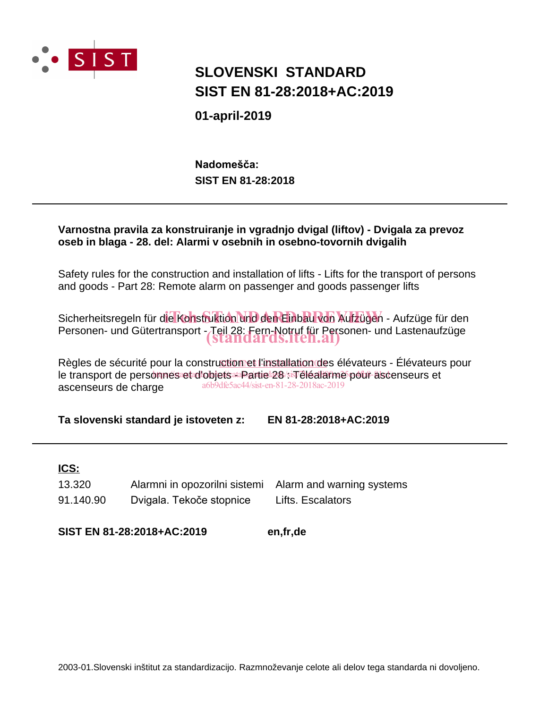

## **SIST EN 81-28:2018+AC:2019 SLOVENSKI STANDARD**

**01-april-2019**

**SIST EN 81-28:2018** Nadomešča:

### **Varnostna pravila za konstruiranje in vgradnjo dvigal (liftov) - Dvigala za prevoz oseb in blaga - 28. del: Alarmi v osebnih in osebno-tovornih dvigalih**

Safety rules for the construction and installation of lifts - Lifts for the transport of persons and goods - Part 28: Remote alarm on passenger and goods passenger lifts

Sicherheitsregeln für die Konstruktion und den Einbau von Aufzügen - Aufzüge für den Personen- und Gütertransport - Teil 28: Fern-Notruf für Personen- und Lastenaufzüge (standards.iteh.ai)

Règles de sécurité pour la construction et l'installation des élévateurs - Élévateurs pour le transport de personnesa et d'objets a Partie 28/sistélé a la més pour ascenseurs et ascenseurs de charge a6b9dfe5ac44/sist-en-81-28-2018ac-2019

**Ta slovenski standard je istoveten z: EN 81-28:2018+AC:2019**

## **ICS:**

| 13.320    | Alarmni in opozorilni sistemi Alarm and warning systems |                   |
|-----------|---------------------------------------------------------|-------------------|
| 91.140.90 | Dvigala. Tekoče stopnice                                | Lifts. Escalators |

**SIST EN 81-28:2018+AC:2019 en,fr,de**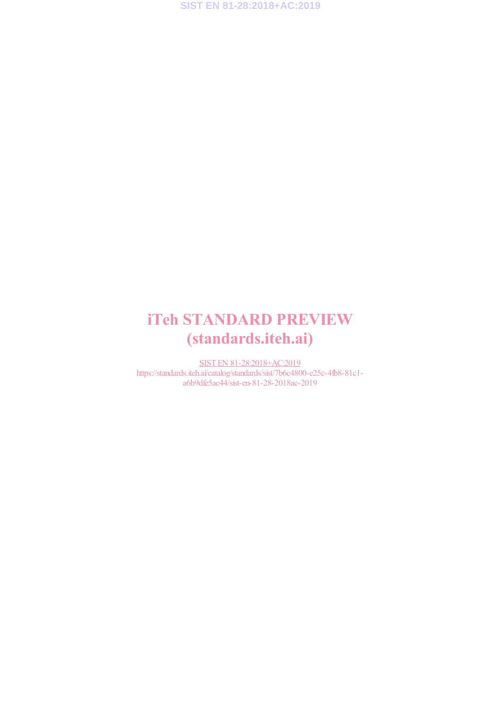# iTeh STANDARD PREVIEW (standards.iteh.ai)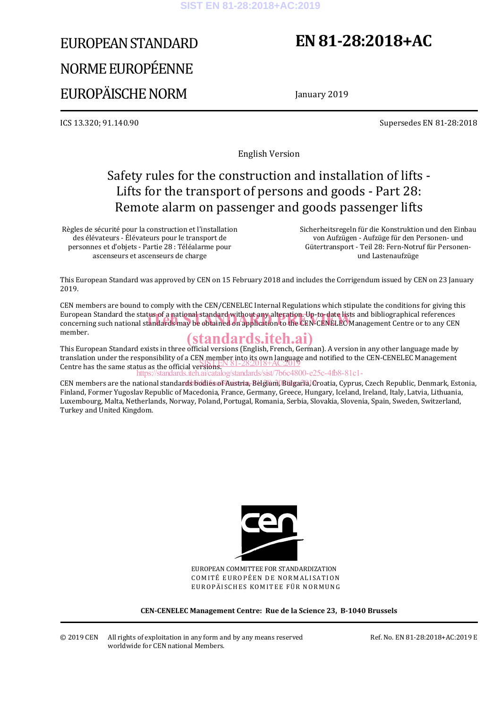# EUROPEAN STANDARD NORME EUROPÉENNE EUROPÄISCHE NORM

# **EN 81-28:2018+AC**

January 2019

ICS 13.320; 91.140.90 Supersedes EN 81-28:2018

English Version

## Safety rules for the construction and installation of lifts - Lifts for the transport of persons and goods - Part 28: Remote alarm on passenger and goods passenger lifts

Règles de sécurité pour la construction et l'installation des élévateurs - Élévateurs pour le transport de personnes et d'objets - Partie 28 : Téléalarme pour ascenseurs et ascenseurs de charge

Sicherheitsregeln für die Konstruktion und den Einbau von Aufzügen - Aufzüge für den Personen- und Gütertransport - Teil 28: Fern-Notruf für Personenund Lastenaufzüge

This European Standard was approved by CEN on 15 February 2018 and includes the Corrigendum issued by CEN on 23 January 2019.

CEN members are bound to comply with the CEN/CENELEC Internal Regulations which stipulate the conditions for giving this European Standard the status of a national standard without any alteration. Up-to-date lists and bibliographical references European Standard the status of a national standard without any alteration. Up-to-date lists and bibliographical references<br>concerning such national standards may be obtained on application to the CEN-CENELEC Management Ce member.

## (standards.iteh.ai)

This European Standard exists in three official versions (English, French, German). A version in any other language made by translation under the responsibility of a CEN member into its own language and notified to the CEN-CENELEC Management<br>Centre has the same status as the official versions N 81-28:2018+AC:2019 Centre has the same status as the official versions. .ai/catalog/standards/sist/7b6c4800-e25c-4fb8-81c1-

CEN members are the national standards bodies of Austria, Belgium, Bulgaria, Groatia, Cyprus, Czech Republic, Denmark, Estonia, Finland, Former Yugoslav Republic of Macedonia, France, Germany, Greece, Hungary, Iceland, Ireland, Italy, Latvia, Lithuania, Luxembourg, Malta, Netherlands, Norway, Poland, Portugal, Romania, Serbia, Slovakia, Slovenia, Spain, Sweden, Switzerland, Turkey and United Kingdom.



EUROPEAN COMMITTEE FOR STANDARDIZATION COMITÉ EUROPÉEN DE NORMALISATION EUROPÄISCHES KOMITEE FÜR NORMUNG

**CEN-CENELEC Management Centre: Rue de la Science 23, B-1040 Brussels**

Ref. No. EN 81-28:2018+AC:2019 E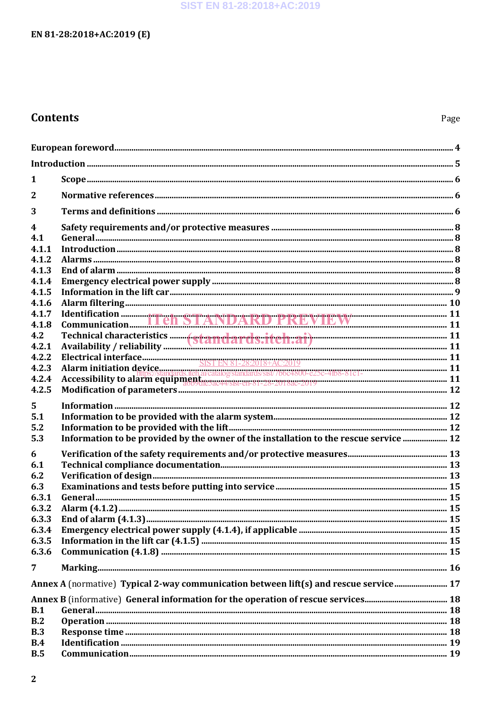#### SIST EN 81-28:2018+AC:2019

## EN 81-28:2018+AC:2019 (E)

## **Contents**

| 1                       |                                                                                                                                                                                                                                         |  |  |
|-------------------------|-----------------------------------------------------------------------------------------------------------------------------------------------------------------------------------------------------------------------------------------|--|--|
| $\overline{2}$          |                                                                                                                                                                                                                                         |  |  |
| 3                       |                                                                                                                                                                                                                                         |  |  |
| $\overline{\mathbf{4}}$ |                                                                                                                                                                                                                                         |  |  |
| 4.1                     |                                                                                                                                                                                                                                         |  |  |
| 4.1.1                   |                                                                                                                                                                                                                                         |  |  |
| 4.1.2                   |                                                                                                                                                                                                                                         |  |  |
| 4.1.3                   |                                                                                                                                                                                                                                         |  |  |
| 4.1.4                   |                                                                                                                                                                                                                                         |  |  |
| 4.1.5                   |                                                                                                                                                                                                                                         |  |  |
| 4.1.6                   |                                                                                                                                                                                                                                         |  |  |
| 4.1.7                   |                                                                                                                                                                                                                                         |  |  |
| 4.1.8                   |                                                                                                                                                                                                                                         |  |  |
| 4.2                     | Technical characteristics <b>and ards:itch:ai) Characteristics</b> 11 Availability / reliability <b>and architecture in the set of the set of the set of the set of the set of the set of the set of the set of the set of the set </b> |  |  |
| 4.2.1                   |                                                                                                                                                                                                                                         |  |  |
| 4.2.2                   |                                                                                                                                                                                                                                         |  |  |
| 4.2.3                   |                                                                                                                                                                                                                                         |  |  |
| 4.2.4                   |                                                                                                                                                                                                                                         |  |  |
| 4.2.5                   |                                                                                                                                                                                                                                         |  |  |
|                         |                                                                                                                                                                                                                                         |  |  |
| 5<br>5.1                |                                                                                                                                                                                                                                         |  |  |
|                         |                                                                                                                                                                                                                                         |  |  |
| 5.2                     |                                                                                                                                                                                                                                         |  |  |
| 5.3                     | Information to be provided by the owner of the installation to the rescue service  12                                                                                                                                                   |  |  |
| 6                       |                                                                                                                                                                                                                                         |  |  |
| 6.1                     |                                                                                                                                                                                                                                         |  |  |
| 6.2                     |                                                                                                                                                                                                                                         |  |  |
| 6.3                     |                                                                                                                                                                                                                                         |  |  |
| 6.3.1                   |                                                                                                                                                                                                                                         |  |  |
| 6.3.2                   |                                                                                                                                                                                                                                         |  |  |
| 6.3.3                   |                                                                                                                                                                                                                                         |  |  |
| 6.3.4                   |                                                                                                                                                                                                                                         |  |  |
| 6.3.5                   |                                                                                                                                                                                                                                         |  |  |
| 6.3.6                   |                                                                                                                                                                                                                                         |  |  |
| 7                       |                                                                                                                                                                                                                                         |  |  |
|                         | Annex A (normative) Typical 2-way communication between lift(s) and rescue service 17                                                                                                                                                   |  |  |
|                         |                                                                                                                                                                                                                                         |  |  |
| B.1                     |                                                                                                                                                                                                                                         |  |  |
| B.2                     |                                                                                                                                                                                                                                         |  |  |
| B.3                     |                                                                                                                                                                                                                                         |  |  |
| B.4                     |                                                                                                                                                                                                                                         |  |  |
| B.5                     |                                                                                                                                                                                                                                         |  |  |
|                         |                                                                                                                                                                                                                                         |  |  |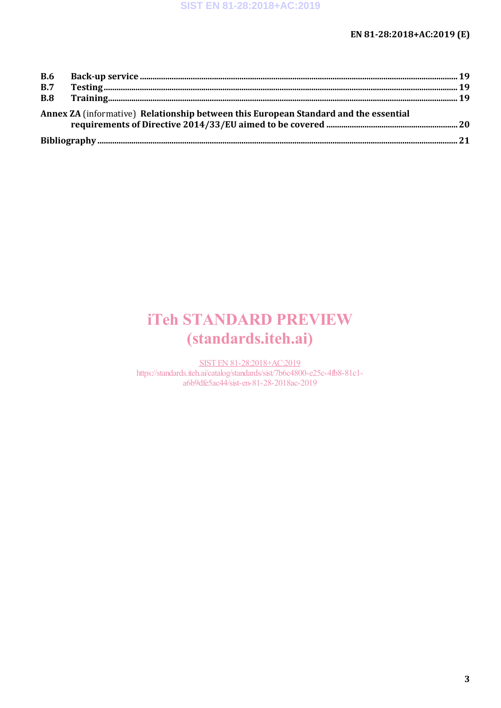#### **EN 81-28:2018+AC:2019 (E)**

| B.7                                                                                  |  |  |
|--------------------------------------------------------------------------------------|--|--|
|                                                                                      |  |  |
| Annex ZA (informative) Relationship between this European Standard and the essential |  |  |
|                                                                                      |  |  |

# iTeh STANDARD PREVIEW (standards.iteh.ai)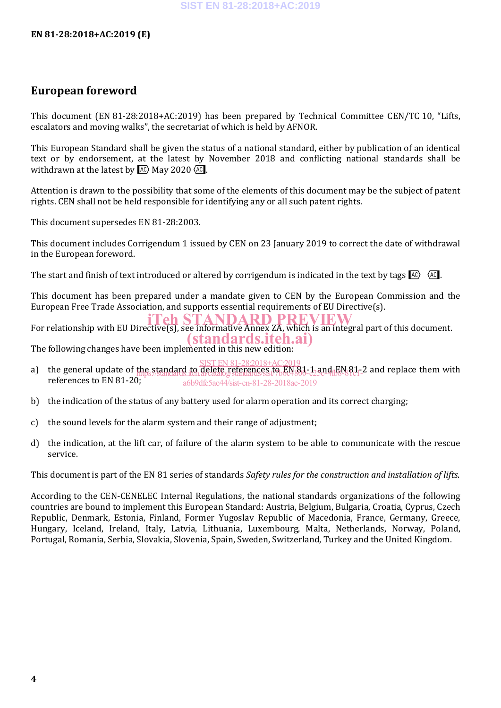## **European foreword**

This document (EN 81-28:2018+AC:2019) has been prepared by Technical Committee CEN/TC 10, "Lifts, escalators and moving walks", the secretariat of which is held by AFNOR.

This European Standard shall be given the status of a national standard, either by publication of an identical text or by endorsement, at the latest by November 2018 and conflicting national standards shall be withdrawn at the latest by  $AC$  May 2020  $AC$ .

Attention is drawn to the possibility that some of the elements of this document may be the subject of patent rights. CEN shall not be held responsible for identifying any or all such patent rights.

This document supersedes EN 81-28:2003.

This document includes Corrigendum 1 issued by CEN on 23 January 2019 to correct the date of withdrawal in the European foreword.

The start and finish of text introduced or altered by corrigendum is indicated in the text by tags  $\mathbb{AC}$ .

This document has been prepared under a mandate given to CEN by the European Commission and the European Free Trade Association, and supports essential requirements of EU Directive(s).

For relationship with EU Directive(s), see informative Annex ZA, which is an integral part of this document. Teh STANDARD PREVIE

The following changes have been implemented in this new edition: (standards.iteh.ai)

- a) the general update of the standard to delete references to EN81-b and EN81-2 and replace them with references to EN 81-20;  $\text{EN} \, 81.283018 + \text{AC}$ a6b9dfe5ac44/sist-en-81-28-2018ac-2019
- b) the indication of the status of any battery used for alarm operation and its correct charging;
- c) the sound levels for the alarm system and their range of adjustment;
- d) the indication, at the lift car, of failure of the alarm system to be able to communicate with the rescue service.

This document is part of the EN 81 series of standards *Safety rules for the construction and installation of lifts*.

According to the CEN-CENELEC Internal Regulations, the national standards organizations of the following countries are bound to implement this European Standard: Austria, Belgium, Bulgaria, Croatia, Cyprus, Czech Republic, Denmark, Estonia, Finland, Former Yugoslav Republic of Macedonia, France, Germany, Greece, Hungary, Iceland, Ireland, Italy, Latvia, Lithuania, Luxembourg, Malta, Netherlands, Norway, Poland, Portugal, Romania, Serbia, Slovakia, Slovenia, Spain, Sweden, Switzerland, Turkey and the United Kingdom.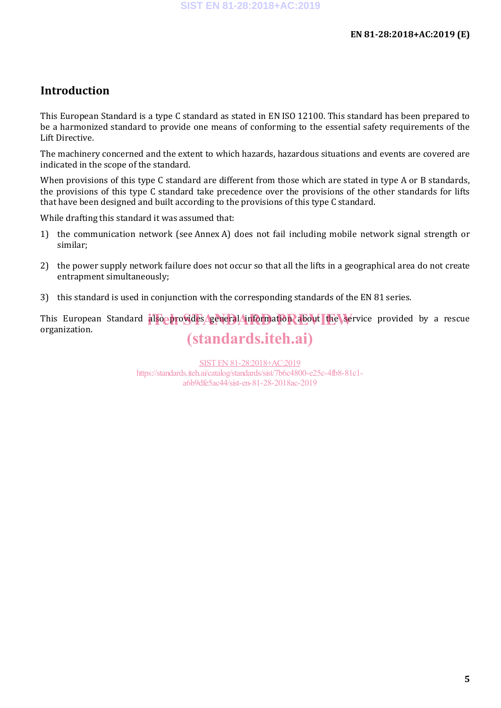## **Introduction**

This European Standard is a type C standard as stated in EN ISO 12100. This standard has been prepared to be a harmonized standard to provide one means of conforming to the essential safety requirements of the Lift Directive.

The machinery concerned and the extent to which hazards, hazardous situations and events are covered are indicated in the scope of the standard.

When provisions of this type C standard are different from those which are stated in type A or B standards, the provisions of this type C standard take precedence over the provisions of the other standards for lifts that have been designed and built according to the provisions of this type C standard.

While drafting this standard it was assumed that:

- 1) the communication network (see Annex A) does not fail including mobile network signal strength or similar;
- 2) the power supply network failure does not occur so that all the lifts in a geographical area do not create entrapment simultaneously;
- 3) this standard is used in conjunction with the corresponding standards of the EN 81 series.

This European Standard also provides general information about the service provided by a rescue organization.

## (standards.iteh.ai)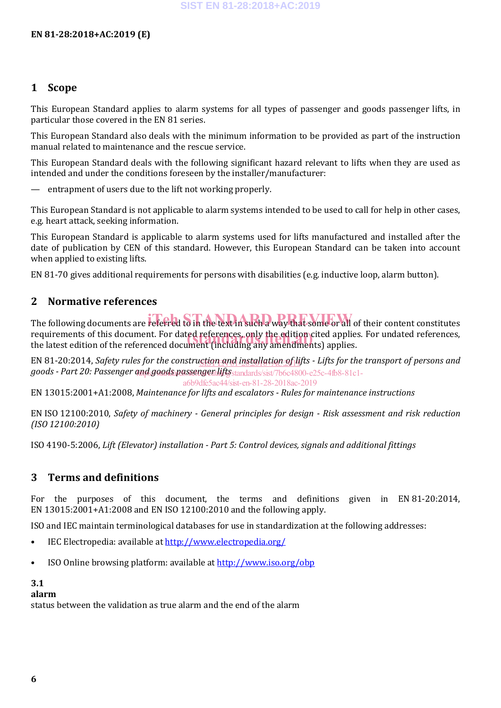#### **EN 81-28:2018+AC:2019 (E)**

#### **1 Scope**

This European Standard applies to alarm systems for all types of passenger and goods passenger lifts, in particular those covered in the EN 81 series.

This European Standard also deals with the minimum information to be provided as part of the instruction manual related to maintenance and the rescue service.

This European Standard deals with the following significant hazard relevant to lifts when they are used as intended and under the conditions foreseen by the installer/manufacturer:

entrapment of users due to the lift not working properly.

This European Standard is not applicable to alarm systems intended to be used to call for help in other cases, e.g. heart attack, seeking information.

This European Standard is applicable to alarm systems used for lifts manufactured and installed after the date of publication by CEN of this standard. However, this European Standard can be taken into account when applied to existing lifts.

EN 81-70 gives additional requirements for persons with disabilities (e.g. inductive loop, alarm button).

### **2 Normative references**

The following documents are referred to in the text in such a way that some or all of their content constitutes requirements of this document. For dated references, only the edition cited applies. For undated references, requirements of this document. For dated references, only the edition cited applie<br>the latest edition of the referenced document (including any amendments) applies.

EN 81-20:2014, *Safety rules for the constru<u>ction and installation of</u> lifts - Lifts for the transport of persons and goods - Part 20: Passenger and goods passenger lifts* https://standards.iteh.ai/catalog/standards/sist/7b6c4800-e25c-4fb8-81c1 a6b9dfe5ac44/sist-en-81-28-2018ac-2019

EN 13015:2001+A1:2008, *Maintenance for lifts and escalators - Rules for maintenance instructions*

EN ISO 12100:2010, *Safety of machinery - General principles for design - Risk assessment and risk reduction (ISO 12100:2010)*

ISO 4190-5:2006, *Lift (Elevator) installation - Part 5: Control devices, signals and additional fittings*

### **3 Terms and definitions**

For the purposes of this document, the terms and definitions given in EN 81-20:2014, EN 13015:2001+A1:2008 and EN ISO 12100:2010 and the following apply.

ISO and IEC maintain terminological databases for use in standardization at the following addresses:

- IEC Electropedia: available at http://www.electropedia.org/
- ISO Online browsing platform: available at http://www.iso.org/obp

#### **3.1**

#### **alarm**

status between the validation as true alarm and the end of the alarm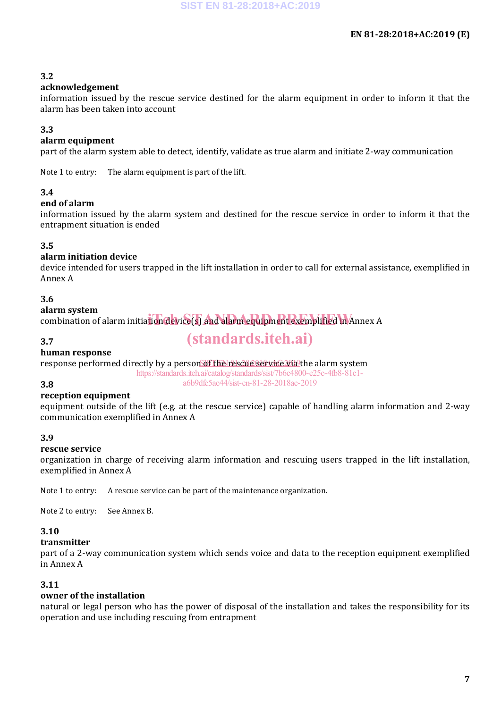#### **3.2**

#### **acknowledgement**

information issued by the rescue service destined for the alarm equipment in order to inform it that the alarm has been taken into account

#### **3.3**

#### **alarm equipment**

part of the alarm system able to detect, identify, validate as true alarm and initiate 2-way communication

Note 1 to entry: The alarm equipment is part of the lift.

#### **3.4**

#### **end of alarm**

information issued by the alarm system and destined for the rescue service in order to inform it that the entrapment situation is ended

#### **3.5**

#### **alarm initiation device**

device intended for users trapped in the lift installation in order to call for external assistance, exemplified in Annex A

#### **3.6**

#### **alarm system**

alarm system<br>combination of alarm initiation device(s) and alarm equipment exemplified in Annex A

#### **3.7**

**3.8**

## (standards.iteh.ai)

#### **human response**

response performed directly by a person of the rescue service via the alarm system

https://standards.iteh.ai/catalog/standards/sist/7b6c4800-e25c-4fb8-81c1-

a6b9dfe5ac44/sist-en-81-28-2018ac-2019

#### **reception equipment**

equipment outside of the lift (e.g. at the rescue service) capable of handling alarm information and 2-way communication exemplified in Annex A

#### **3.9**

#### **rescue service**

organization in charge of receiving alarm information and rescuing users trapped in the lift installation, exemplified in Annex A

Note 1 to entry: A rescue service can be part of the maintenance organization.

Note 2 to entry: See Annex B.

#### **3.10**

**transmitter**

part of a 2-way communication system which sends voice and data to the reception equipment exemplified in Annex A

### **3.11**

## **owner of the installation**

natural or legal person who has the power of disposal of the installation and takes the responsibility for its operation and use including rescuing from entrapment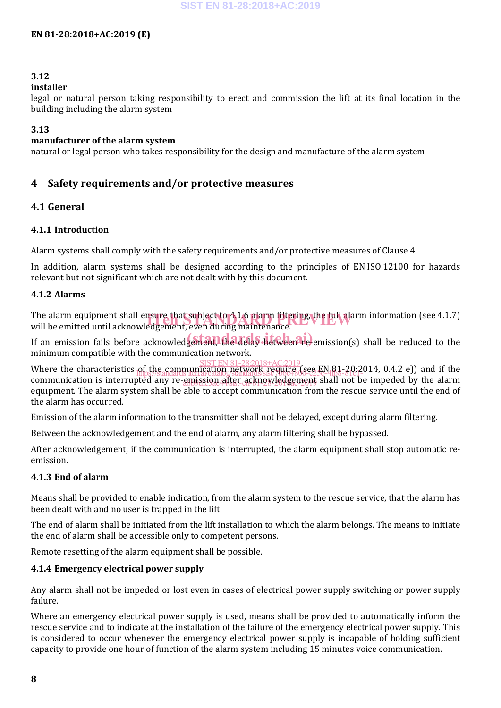#### **EN 81-28:2018+AC:2019 (E)**

#### **3.12**

#### **installer**

legal or natural person taking responsibility to erect and commission the lift at its final location in the building including the alarm system

#### **3.13**

#### **manufacturer of the alarm system**

natural or legal person who takes responsibility for the design and manufacture of the alarm system

#### **4 Safety requirements and/or protective measures**

#### **4.1 General**

#### **4.1.1 Introduction**

Alarm systems shall comply with the safety requirements and/or protective measures of Clause 4.

In addition, alarm systems shall be designed according to the principles of EN ISO 12100 for hazards relevant but not significant which are not dealt with by this document.

#### **4.1.2 Alarms**

The alarm equipment shall ensure that subject to 4.1.6 alarm filtering, the full alarm information (see 4.1.7)<br>will be emitted until acknowledgement, even during maintenance. will be emitted until acknowledgement, even during maintenance.

If an emission fails before acknowledgement, the delay between re-emission(s) shall be reduced to the minimum compatible with the communication network.

Where the characteristics of the communication network require (see EN 81-20:2014, 0.4.2 e)) and if the<br>experiments of the contractor of the communication retwork require (see EN 81-20:2014, 0.4.2 e)) and if the communication is interrupted any re-emission after acknowledgement shall not be impeded by the alarm equipment. The alarm system shall be able to accept communication from the rescue service until the end of the alarm has occurred. SIST EN 81-28:2018+AC:2019 https://standards.iteh.ai/catalog/standards/sist/7b6c4800-e25c-4fb8-81c1-

Emission of the alarm information to the transmitter shall not be delayed, except during alarm filtering.

Between the acknowledgement and the end of alarm, any alarm filtering shall be bypassed.

After acknowledgement, if the communication is interrupted, the alarm equipment shall stop automatic reemission.

#### **4.1.3 End of alarm**

Means shall be provided to enable indication, from the alarm system to the rescue service, that the alarm has been dealt with and no user is trapped in the lift.

The end of alarm shall be initiated from the lift installation to which the alarm belongs. The means to initiate the end of alarm shall be accessible only to competent persons.

Remote resetting of the alarm equipment shall be possible.

#### **4.1.4 Emergency electrical power supply**

Any alarm shall not be impeded or lost even in cases of electrical power supply switching or power supply failure.

Where an emergency electrical power supply is used, means shall be provided to automatically inform the rescue service and to indicate at the installation of the failure of the emergency electrical power supply. This is considered to occur whenever the emergency electrical power supply is incapable of holding sufficient capacity to provide one hour of function of the alarm system including 15 minutes voice communication.